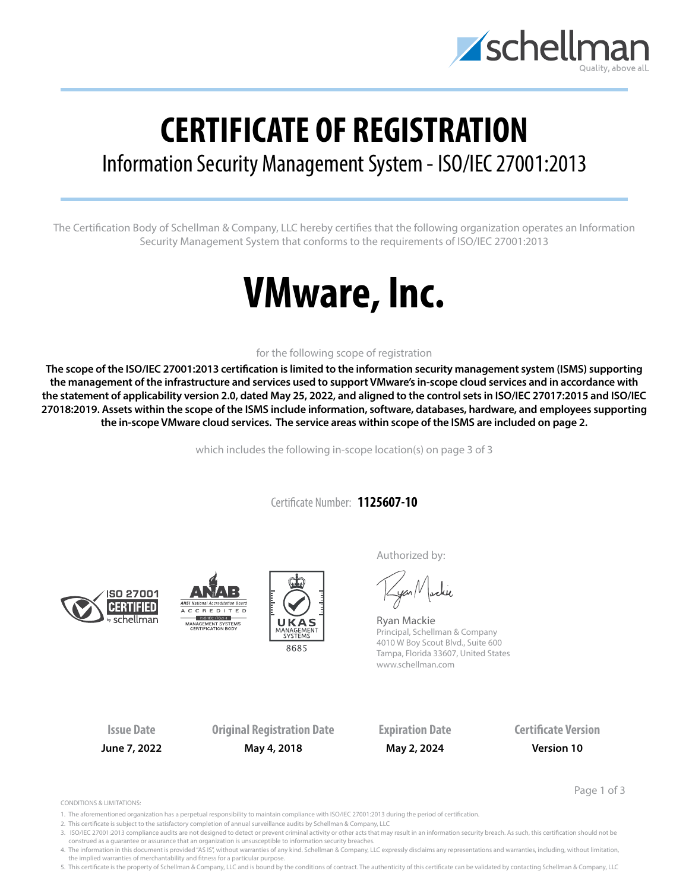

## **CERTIFICATE OF REGISTRATION**

## Information Security Management System - ISO/IEC 27001:2013

The Certification Body of Schellman & Company, LLC hereby certifies that the following organization operates an Information Security Management System that conforms to the requirements of ISO/IEC 27001:2013

# **VMware, Inc.**

### for the following scope of registration

**The scope of the ISO/IEC 27001:2013 certification is limited to the information security management system (ISMS) supporting the management of the infrastructure and services used to support VMware's in-scope cloud services and in accordance with the statement of applicability version 2.0, dated May 25, 2022, and aligned to the control sets in ISO/IEC 27017:2015 and ISO/IEC 27018:2019. Assets within the scope of the ISMS include information, software, databases, hardware, and employees supporting the in-scope VMware cloud services. The service areas within scope of the ISMS are included on page 2.**

which includes the following in-scope location(s) on page 3 of 3

Certificate Number: **1125607-10**







Authorized by:

yan Nachie

Ryan Mackie Principal, Schellman & Company 4010 W Boy Scout Blvd., Suite 600 Tampa, Florida 33607, United States www.schellman.com

**Issue Date Original Registration Date Expiration Date Certificate Version June 7, 2022 May 4, 2018 May 2, 2024 Version 10**

Page 1 of 3

CONDITIONS & LIMITATIONS:

- 1. The aforementioned organization has a perpetual responsibility to maintain compliance with ISO/IEC 27001:2013 during the period of certification.
- 2. This certificate is subject to the satisfactory completion of annual surveillance audits by Schellman & Company, LLC
- 3. ISO/IEC 27001:2013 compliance audits are not designed to detect or prevent criminal activity or other acts that may result in an information security breach. As such, this certification should not be construed as a guarantee or assurance that an organization is unsusceptible to information security breaches.

4. The information in this document is provided "AS IS", without warranties of any kind. Schellman & Company, LLC expressly disclaims any representations and warranties, including, without limitation, the implied warranties of merchantability and fitness for a particular purpose.

5. This certificate is the property of Schellman & Company, LLC and is bound by the conditions of contract. The authenticity of this certificate can be validated by contacting Schellman & Company, LLC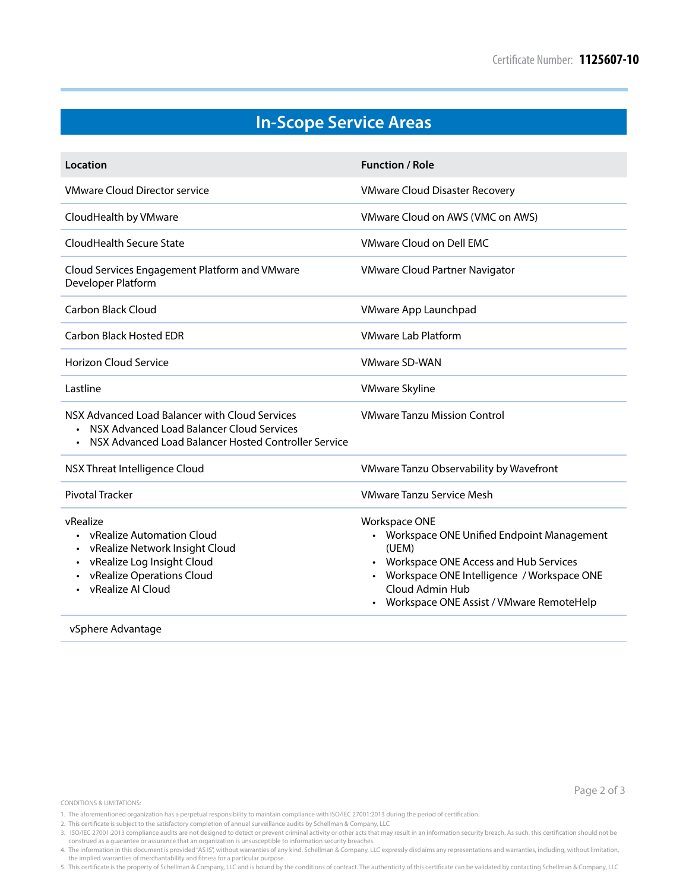Page 2 of 3

## **In-Scope Service Areas**

| Location                                                                                                                                                                       | <b>Function / Role</b>                                                                                                                                                                                                               |
|--------------------------------------------------------------------------------------------------------------------------------------------------------------------------------|--------------------------------------------------------------------------------------------------------------------------------------------------------------------------------------------------------------------------------------|
| <b>VMware Cloud Director service</b>                                                                                                                                           | <b>VMware Cloud Disaster Recovery</b>                                                                                                                                                                                                |
| CloudHealth by VMware                                                                                                                                                          | VMware Cloud on AWS (VMC on AWS)                                                                                                                                                                                                     |
| CloudHealth Secure State                                                                                                                                                       | <b>VMware Cloud on Dell FMC</b>                                                                                                                                                                                                      |
| Cloud Services Engagement Platform and VMware<br>Developer Platform                                                                                                            | <b>VMware Cloud Partner Navigator</b>                                                                                                                                                                                                |
| Carbon Black Cloud                                                                                                                                                             | VMware App Launchpad                                                                                                                                                                                                                 |
| Carbon Black Hosted EDR                                                                                                                                                        | <b>VMware Lab Platform</b>                                                                                                                                                                                                           |
| <b>Horizon Cloud Service</b>                                                                                                                                                   | <b>VMware SD-WAN</b>                                                                                                                                                                                                                 |
| Lastline                                                                                                                                                                       | <b>VMware Skyline</b>                                                                                                                                                                                                                |
| NSX Advanced Load Balancer with Cloud Services<br>NSX Advanced Load Balancer Cloud Services<br>NSX Advanced Load Balancer Hosted Controller Service                            | <b>VMware Tanzu Mission Control</b>                                                                                                                                                                                                  |
| NSX Threat Intelligence Cloud                                                                                                                                                  | VMware Tanzu Observability by Wavefront                                                                                                                                                                                              |
| <b>Pivotal Tracker</b>                                                                                                                                                         | <b>VMware Tanzu Service Mesh</b>                                                                                                                                                                                                     |
| vRealize<br>• vRealize Automation Cloud<br>vRealize Network Insight Cloud<br>vRealize Log Insight Cloud<br>vRealize Operations Cloud<br>vRealize AI Cloud<br>vSphere Advantage | <b>Workspace ONE</b><br>• Workspace ONE Unified Endpoint Management<br>(UEM)<br>• Workspace ONE Access and Hub Services<br>Workspace ONE Intelligence / Workspace ONE<br>Cloud Admin Hub<br>Workspace ONE Assist / VMware RemoteHelp |

CONDITIONS & LIMITATIONS:

construed as a guarantee or assurance that an organization is unsusceptible to information security breaches. 4. The information in this document is provided "AS IS", without warranties of any kind. Schellman & Company, LLC expressly disclaims any representations and warranties, including, without limitation,<br>the implied warrantie

5. This certificate is the property of Schellman & Company, LLC and is bound by the conditions of contract. The authenticity of this certificate can be validated by contacting Schellman & Company, LLC

<sup>1.</sup> The aforementioned organization has a perpetual responsibility to maintain compliance with ISO/IEC 27001:2013 during the period of certification.

<sup>2.</sup> This certificate is subject to the satisfactory completion of annual surveillance audits by Schellman & Company, LLC

<sup>3.</sup> ISO/IEC 27001:2013 compliance audits are not designed to detect or prevent criminal activity or other acts that may result in an information security breach. As such, this certification should not be